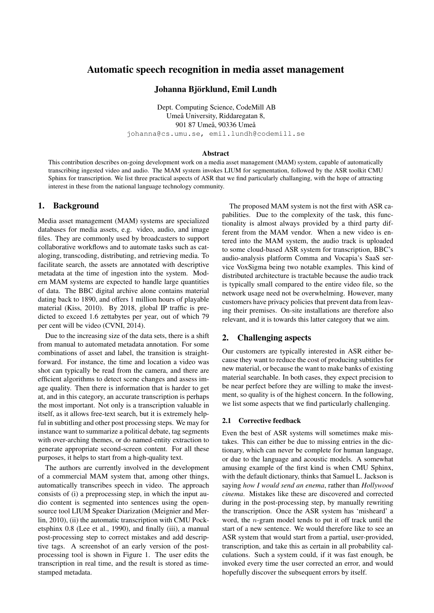# Automatic speech recognition in media asset management

### Johanna Björklund, Emil Lundh

Dept. Computing Science, CodeMill AB Umeå University, Riddaregatan 8, 901 87 Umeå, 90336 Umeå johanna@cs.umu.se, emil.lundh@codemill.se

#### **Abstract**

This contribution describes on-going development work on a media asset management (MAM) system, capable of automatically transcribing ingested video and audio. The MAM system invokes LIUM for segmentation, followed by the ASR toolkit CMU Sphinx for transcription. We list three practical aspects of ASR that we find particularly challanging, with the hope of attracting interest in these from the national language technology community.

### 1. Background

Media asset management (MAM) systems are specialized databases for media assets, e.g. video, audio, and image files. They are commonly used by broadcasters to support collaborative workflows and to automate tasks such as cataloging, transcoding, distributing, and retrieving media. To facilitate search, the assets are annotated with descriptive metadata at the time of ingestion into the system. Modern MAM systems are expected to handle large quantities of data. The BBC digital archive alone contains material dating back to 1890, and offers 1 million hours of playable material (Kiss, 2010). By 2018, global IP traffic is predicted to exceed 1.6 zettabytes per year, out of which 79 per cent will be video (CVNI, 2014).

Due to the increasing size of the data sets, there is a shift from manual to automated metadata annotation. For some combinations of asset and label, the transition is straightforward. For instance, the time and location a video was shot can typically be read from the camera, and there are efficient algorithms to detect scene changes and assess image quality. Then there is information that is harder to get at, and in this category, an accurate transcription is perhaps the most important. Not only is a transcription valuable in itself, as it allows free-text search, but it is extremely helpful in subtitling and other post processing steps. We may for instance want to summarize a political debate, tag segments with over-arching themes, or do named-entity extraction to generate appropriate second-screen content. For all these purposes, it helps to start from a high-quality text.

The authors are currently involved in the development of a commercial MAM system that, among other things, automatically transcribes speech in video. The approach consists of (i) a preprocessing step, in which the input audio content is segmented into sentences using the opensource tool LIUM Speaker Diarization (Meignier and Merlin, 2010), (ii) the automatic transcription with CMU Pocketsphinx 0.8 (Lee et al., 1990), and finally (iii), a manual post-processing step to correct mistakes and add descriptive tags. A screenshot of an early version of the postprocessing tool is shown in Figure 1. The user edits the transcription in real time, and the result is stored as timestamped metadata.

The proposed MAM system is not the first with ASR capabilities. Due to the complexity of the task, this functionality is almost always provided by a third party different from the MAM vendor. When a new video is entered into the MAM system, the audio track is uploaded to some cloud-based ASR system for transcription, BBC's audio-analysis platform Comma and Vocapia's SaaS service VoxSigma being two notable examples. This kind of distributed architecture is tractable because the audio track is typically small compared to the entire video file, so the network usage need not be overwhelming. However, many customers have privacy policies that prevent data from leaving their premises. On-site installations are therefore also relevant, and it is towards this latter category that we aim.

# 2. Challenging aspects

Our customers are typically interested in ASR either because they want to reduce the cost of producing subtitles for new material, or because the want to make banks of existing material searchable. In both cases, they expect precision to be near perfect before they are willing to make the investment, so quality is of the highest concern. In the following, we list some aspects that we find particularly challenging.

#### 2.1 Corrective feedback

Even the best of ASR systems will sometimes make mistakes. This can either be due to missing entries in the dictionary, which can never be complete for human language, or due to the language and acoustic models. A somewhat amusing example of the first kind is when CMU Sphinx, with the default dictionary, thinks that Samuel L. Jackson is saying *how I would send an enema*, rather than *Hollywood cinema*. Mistakes like these are discovered and corrected during in the post-processing step, by manually rewriting the transcription. Once the ASR system has 'misheard' a word, the n-gram model tends to put it off track until the start of a new sentence. We would therefore like to see an ASR system that would start from a partial, user-provided, transcription, and take this as certain in all probability calculations. Such a system could, if it was fast enough, be invoked every time the user corrected an error, and would hopefully discover the subsequent errors by itself.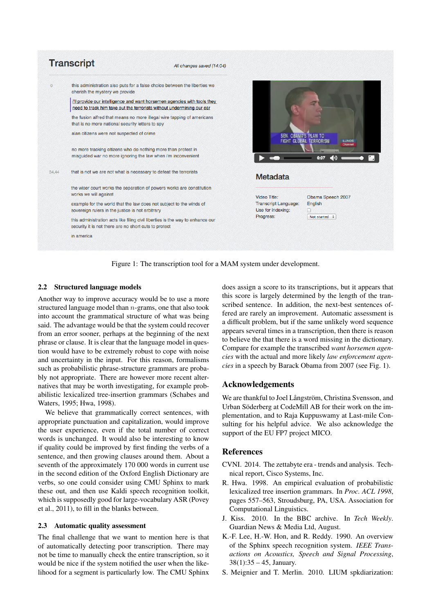

Figure 1: The transcription tool for a MAM system under development.

# 2.2 Structured language models

Another way to improve accuracy would be to use a more structured language model than n-grams, one that also took into account the grammatical structure of what was being said. The advantage would be that the system could recover from an error sooner, perhaps at the beginning of the next phrase or clause. It is clear that the language model in question would have to be extremely robust to cope with noise and uncertainty in the input. For this reason, formalisms such as probabilistic phrase-structure grammars are probably not appropriate. There are however more recent alternatives that may be worth investigating, for example probabilistic lexicalized tree-insertion grammars (Schabes and Waters, 1995; Hwa, 1998).

We believe that grammatically correct sentences, with appropriate punctuation and capitalization, would improve the user experience, even if the total number of correct words is unchanged. It would also be interesting to know if quality could be improved by first finding the verbs of a sentence, and then growing clauses around them. About a seventh of the approximately 170 000 words in current use in the second edition of the Oxford English Dictionary are verbs, so one could consider using CMU Sphinx to mark these out, and then use Kaldi speech recognition toolkit, which is supposedly good for large-vocabulary ASR (Povey et al., 2011), to fill in the blanks between.

### 2.3 Automatic quality assessment

The final challenge that we want to mention here is that of automatically detecting poor transcription. There may not be time to manually check the entire transcription, so it would be nice if the system notified the user when the likelihood for a segment is particularly low. The CMU Sphinx does assign a score to its transcriptions, but it appears that this score is largely determined by the length of the transcribed sentence. In addition, the next-best sentences offered are rarely an improvement. Automatic assessment is a difficult problem, but if the same unlikely word sequence appears several times in a transcription, then there is reason to believe the that there is a word missing in the dictionary. Compare for example the transcribed *want horsemen agencies* with the actual and more likely *law enforcement agencies* in a speech by Barack Obama from 2007 (see Fig. 1).

# Acknowledgements

We are thankful to Joel Långström, Christina Svensson, and Urban Söderberg at CodeMill AB for their work on the implementation, and to Raja Kuppuswamy at Last-mile Consulting for his helpful advice. We also acknowledge the support of the EU FP7 project MICO.

# **References**

- CVNI. 2014. The zettabyte era trends and analysis. Technical report, Cisco Systems, Inc.
- R. Hwa. 1998. An empirical evaluation of probabilistic lexicalized tree insertion grammars. In *Proc. ACL 1998*, pages 557–563, Stroudsburg, PA, USA. Association for Computational Linguistics.
- J. Kiss. 2010. In the BBC archive. In *Tech Weekly*. Guardian News & Media Ltd, August.
- K.-F. Lee, H.-W. Hon, and R. Reddy. 1990. An overview of the Sphinx speech recognition system. *IEEE Transactions on Acoustics, Speech and Signal Processing*,  $38(1)$ :  $35 - 45$ , January.
- S. Meignier and T. Merlin. 2010. LIUM spkdiarization: